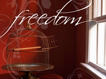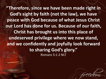**"Therefore, since we have been made right in God's sight by faith (not the law), we have peace with God because of what Jesus Christ our Lord has done for us. Because of our faith, Christ has brought us into this place of undeserved privilege where we now stand, and we confidently and joyfully look forward to sharing God's glory."** Romans 5:1-2 NLT

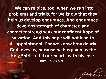**"We can rejoice, too, when we run into problems and trials, for we know that they help us develop endurance. And endurance develops strength of character, and character strengthens our confident hope of salvation. And this hope will not lead to disappointment. For we know how dearly God loves us, because he has given us the Holy Spirit to fill our hearts with his love.**  Romans 5:3-5 NLT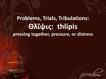# **Problems, Trials, Tribulations: Θλῖψις: thlipis pressing together, pressure, or distress**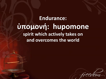## **Endurance: ὑπομονή: hupomone spirit which actively takes on and overcomes the world**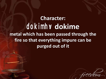**Character:** dokimhv**: dokime metal which has been passed through the fire so that everything impure can be purged out of it**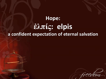## **Hope: ἐλπίς: elpis a confident expectation of eternal salvation**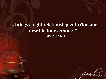#### **"… brings a right relationship with God and new life for everyone!"**  Romans 5:18 NLT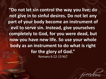**"Do not let sin control the way you live; do not give in to sinful desires. Do not let any part of your body become an instrument of evil to serve sin. Instead, give yourselves completely to God, for you were dead, but now you have new life. So use your whole body as an instrument to do what is right for the glory of God."**  Romans 6:12-13 NLT

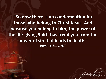**"So now there is no condemnation for those who belong to Christ Jesus. And because you belong to him, the power of the life-giving Spirit has freed you from the power of sin that leads to death."**  Romans 8:1-2 NLT

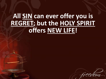# **All SIN can ever offer you is REGRET; but the HOLY SPIRIT offers NEW LIFE!**

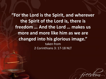**"For the Lord is the Spirit, and wherever the Spirit of the Lord is, there is freedom … And the Lord … makes us more and more like him as we are changed into his glorious image."** taken from 2 Corinthians 3: 17-18 NLT

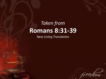## *Taken from* **Romans 8:31-39**

*New Living Translation*

**John Grand Contracts**